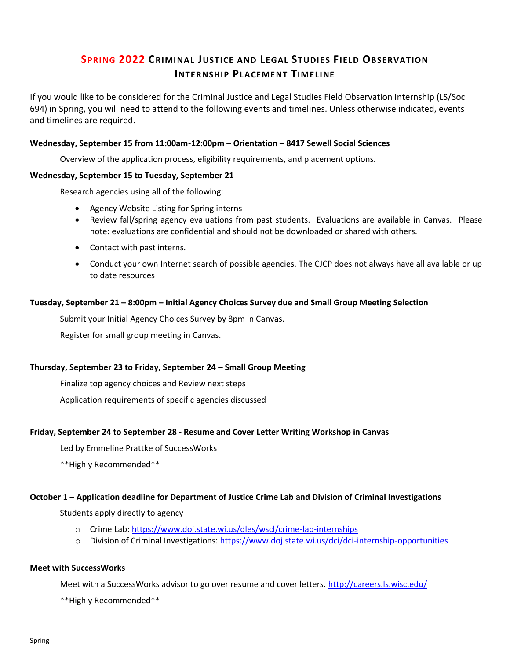# **SPRING 2022 CRIMINAL JUSTICE AND LEGAL STUDIES FIELD OBSERVATION INTERNSHIP PLACEMENT TIMELINE**

If you would like to be considered for the Criminal Justice and Legal Studies Field Observation Internship (LS/Soc 694) in Spring, you will need to attend to the following events and timelines. Unless otherwise indicated, events and timelines are required.

# **Wednesday, September 15 from 11:00am-12:00pm – Orientation – 8417 Sewell Social Sciences**

Overview of the application process, eligibility requirements, and placement options.

## **Wednesday, September 15 to Tuesday, September 21**

Research agencies using all of the following:

- Agency Website Listing for Spring interns
- Review fall/spring agency evaluations from past students. Evaluations are available in Canvas. Please note: evaluations are confidential and should not be downloaded or shared with others.
- Contact with past interns.
- Conduct your own Internet search of possible agencies. The CJCP does not always have all available or up to date resources

## **Tuesday, September 21 – 8:00pm – Initial Agency Choices Survey due and Small Group Meeting Selection**

Submit your Initial Agency Choices Survey by 8pm in Canvas.

Register for small group meeting in Canvas.

### **Thursday, September 23 to Friday, September 24 – Small Group Meeting**

Finalize top agency choices and Review next steps

Application requirements of specific agencies discussed

# **Friday, September 24 to September 28 - Resume and Cover Letter Writing Workshop in Canvas**

Led by Emmeline Prattke of SuccessWorks

\*\*Highly Recommended\*\*

### **October 1 – Application deadline for Department of Justice Crime Lab and Division of Criminal Investigations**

Students apply directly to agency

- o Crime Lab:<https://www.doj.state.wi.us/dles/wscl/crime-lab-internships>
- o Division of Criminal Investigations:<https://www.doj.state.wi.us/dci/dci-internship-opportunities>

# **Meet with SuccessWorks**

Meet with a SuccessWorks advisor to go over resume and cover letters.<http://careers.ls.wisc.edu/>

\*\*Highly Recommended\*\*